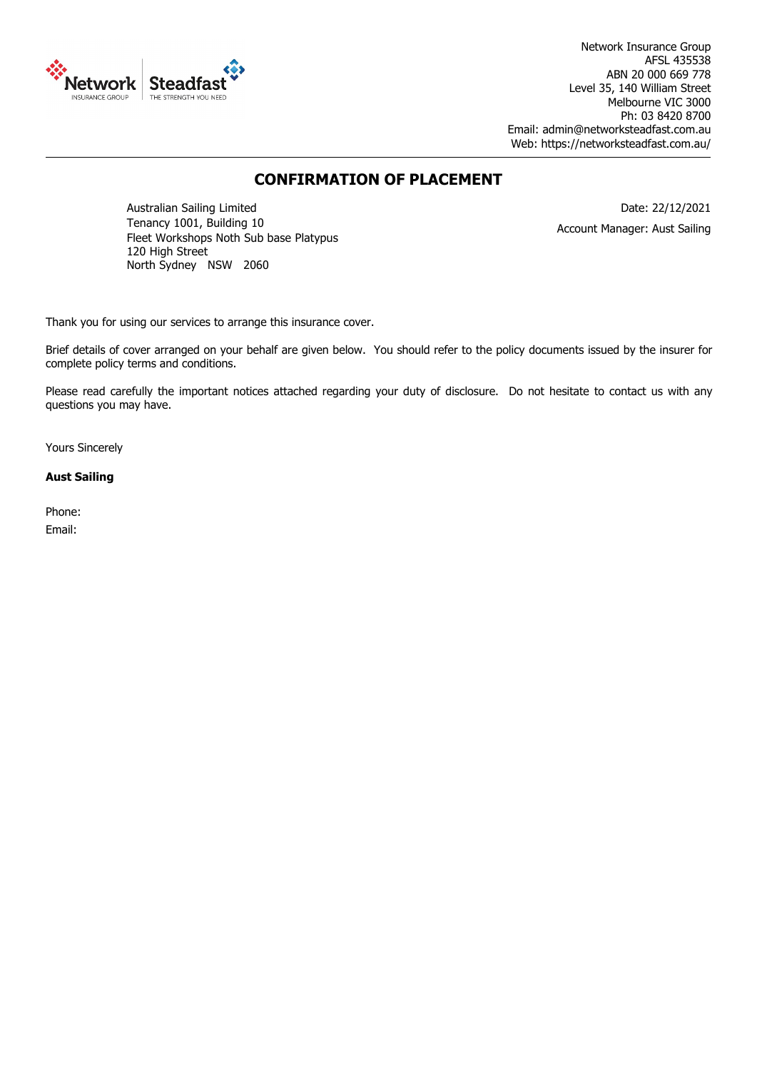

Network Insurance Group AFSL 435538 ABN 20 000 669 778 Level 35, 140 William Street Melbourne VIC 3000 Ph: 03 8420 8700 Email: admin@networksteadfast.com.au Web: https://networksteadfast.com.au/

## **CONFIRMATION OF PLACEMENT**

Australian Sailing Limited Tenancy 1001, Building 10 Fleet Workshops Noth Sub base Platypus 120 High Street North Sydney NSW 2060

Date: 22/12/2021 Account Manager: Aust Sailing

Thank you for using our services to arrange this insurance cover.

Brief details of cover arranged on your behalf are given below. You should refer to the policy documents issued by the insurer for complete policy terms and conditions.

Please read carefully the important notices attached regarding your duty of disclosure. Do not hesitate to contact us with any questions you may have.

Yours Sincerely

#### **Aust Sailing**

Phone: Email: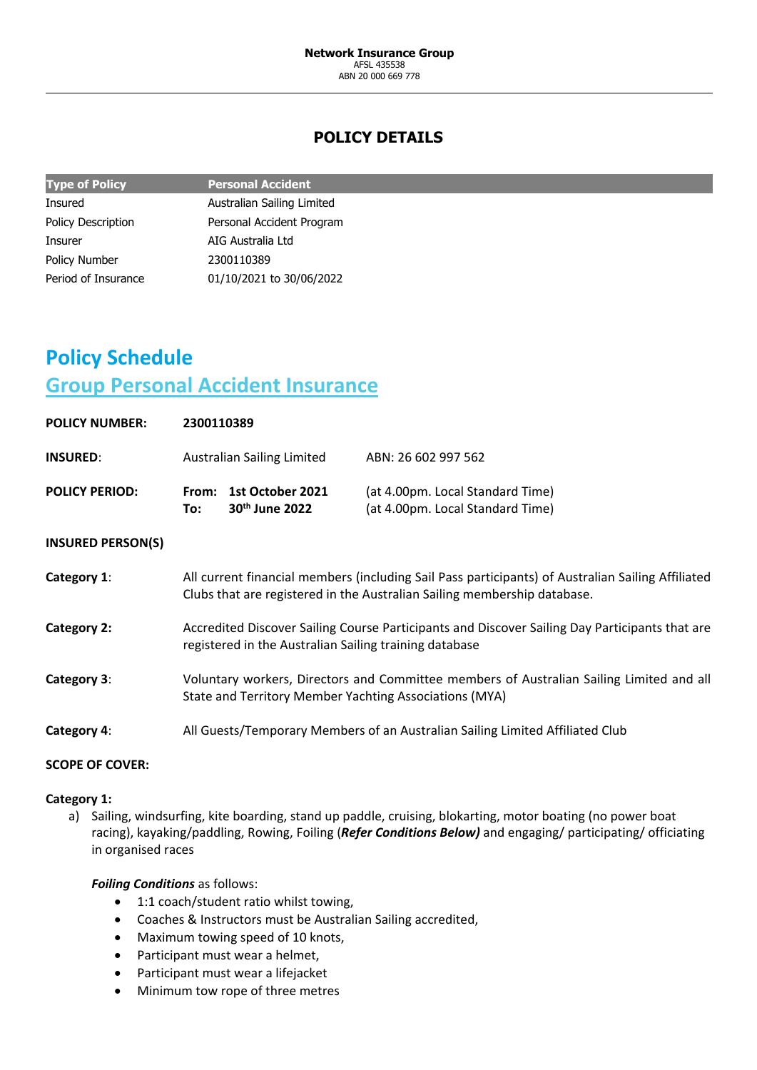# **POLICY DETAILS**

| <b>Type of Policy</b>     | <b>Personal Accident</b>   |
|---------------------------|----------------------------|
| <b>Insured</b>            | Australian Sailing Limited |
| <b>Policy Description</b> | Personal Accident Program  |
| Insurer                   | AIG Australia Ltd          |
| <b>Policy Number</b>      | 2300110389                 |
| Period of Insurance       | 01/10/2021 to 30/06/2022   |

# **Policy Schedule Group Personal Accident Insurance**

| <b>POLICY NUMBER:</b>    | 2300110389                                                                                                                                                                    |                                          |                                                                                                                                                    |
|--------------------------|-------------------------------------------------------------------------------------------------------------------------------------------------------------------------------|------------------------------------------|----------------------------------------------------------------------------------------------------------------------------------------------------|
| <b>INSURED:</b>          |                                                                                                                                                                               | <b>Australian Sailing Limited</b>        | ABN: 26 602 997 562                                                                                                                                |
| <b>POLICY PERIOD:</b>    | To:                                                                                                                                                                           | From: 1st October 2021<br>30th June 2022 | (at 4.00pm. Local Standard Time)<br>(at 4.00pm. Local Standard Time)                                                                               |
| <b>INSURED PERSON(S)</b> |                                                                                                                                                                               |                                          |                                                                                                                                                    |
| Category 1:              | All current financial members (including Sail Pass participants) of Australian Sailing Affiliated<br>Clubs that are registered in the Australian Sailing membership database. |                                          |                                                                                                                                                    |
| Category 2:              | Accredited Discover Sailing Course Participants and Discover Sailing Day Participants that are<br>registered in the Australian Sailing training database                      |                                          |                                                                                                                                                    |
| Category 3:              |                                                                                                                                                                               |                                          | Voluntary workers, Directors and Committee members of Australian Sailing Limited and all<br>State and Territory Member Yachting Associations (MYA) |
| Category 4:              |                                                                                                                                                                               |                                          | All Guests/Temporary Members of an Australian Sailing Limited Affiliated Club                                                                      |

## **SCOPE OF COVER:**

## **Category 1:**

a) Sailing, windsurfing, kite boarding, stand up paddle, cruising, blokarting, motor boating (no power boat racing), kayaking/paddling, Rowing, Foiling (*Refer Conditions Below)* and engaging/ participating/ officiating in organised races

## *Foiling Conditions* as follows:

- 1:1 coach/student ratio whilst towing,
- Coaches & Instructors must be Australian Sailing accredited,
- Maximum towing speed of 10 knots,
- Participant must wear a helmet,
- Participant must wear a lifejacket
- Minimum tow rope of three metres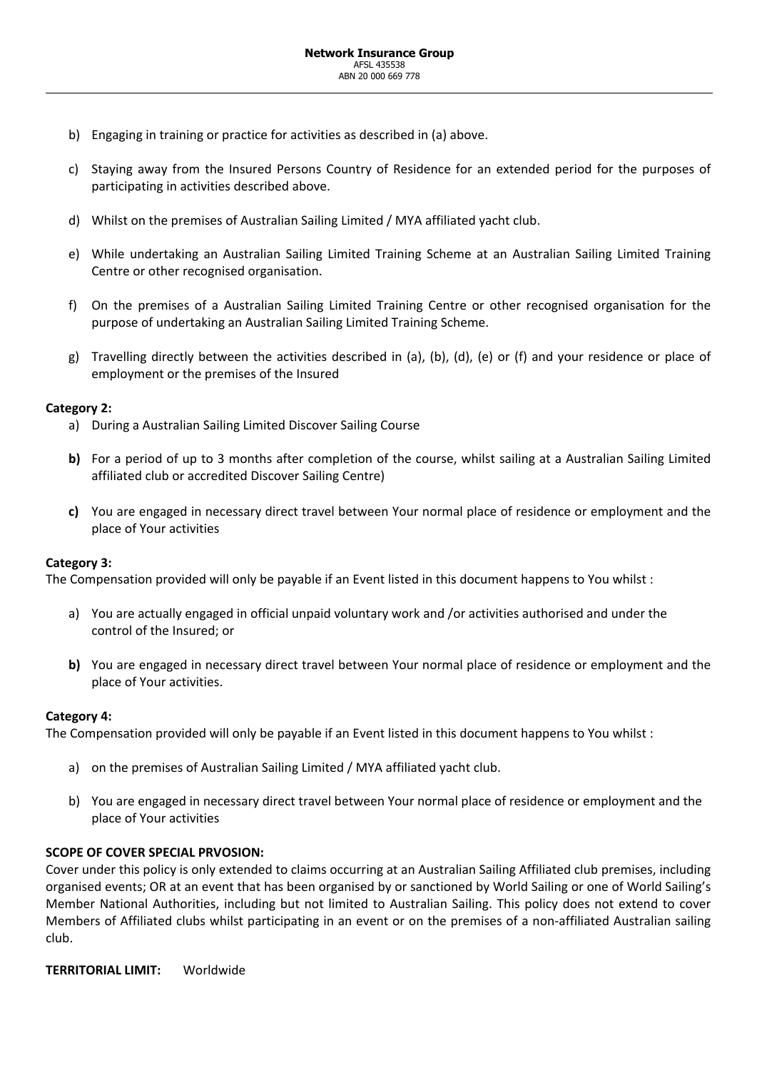- b) Engaging in training or practice for activities as described in (a) above.
- c) Staying away from the Insured Persons Country of Residence for an extended period for the purposes of participating in activities described above.
- d) Whilst on the premises of Australian Sailing Limited / MYA affiliated yacht club.
- e) While undertaking an Australian Sailing Limited Training Scheme at an Australian Sailing Limited Training Centre or other recognised organisation.
- f) On the premises of a Australian Sailing Limited Training Centre or other recognised organisation for the purpose of undertaking an Australian Sailing Limited Training Scheme.
- g) Travelling directly between the activities described in (a), (b), (d), (e) or (f) and your residence or place of employment or the premises of the Insured

## **Category 2:**

- a) During a Australian Sailing Limited Discover Sailing Course
- **b)** For a period of up to 3 months after completion of the course, whilst sailing at a Australian Sailing Limited affiliated club or accredited Discover Sailing Centre)
- **c)** You are engaged in necessary direct travel between Your normal place of residence or employment and the place of Your activities

## **Category 3:**

The Compensation provided will only be payable if an Event listed in this document happens to You whilst :

- a) You are actually engaged in official unpaid voluntary work and /or activities authorised and under the control of the Insured; or
- **b)** You are engaged in necessary direct travel between Your normal place of residence or employment and the place of Your activities.

## **Category 4:**

The Compensation provided will only be payable if an Event listed in this document happens to You whilst :

- a) on the premises of Australian Sailing Limited / MYA affiliated yacht club.
- b) You are engaged in necessary direct travel between Your normal place of residence or employment and the place of Your activities

## **SCOPE OF COVER SPECIAL PRVOSION:**

Cover under this policy is only extended to claims occurring at an Australian Sailing Affiliated club premises, including organised events; OR at an event that has been organised by or sanctioned by World Sailing or one of World Sailing's Member National Authorities, including but not limited to Australian Sailing. This policy does not extend to cover Members of Affiliated clubs whilst participating in an event or on the premises of a non-affiliated Australian sailing club.

**TERRITORIAL LIMIT:** Worldwide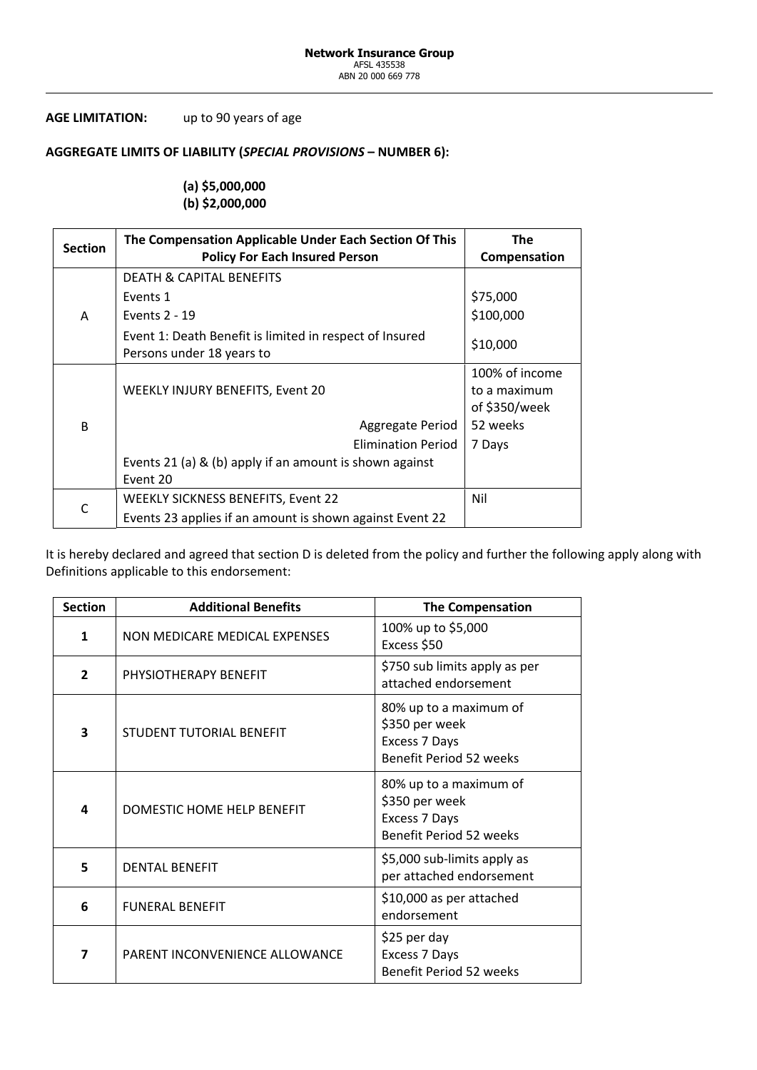## **AGE LIMITATION:** up to 90 years of age

## **AGGREGATE LIMITS OF LIABILITY (***SPECIAL PROVISIONS* **– NUMBER 6):**

## **(a) \$5,000,000 (b) \$2,000,000**

| <b>Section</b> | The Compensation Applicable Under Each Section Of This<br><b>Policy For Each Insured Person</b> | <b>The</b><br>Compensation                      |
|----------------|-------------------------------------------------------------------------------------------------|-------------------------------------------------|
|                | <b>DEATH &amp; CAPITAL BENEFITS</b>                                                             |                                                 |
| A              | Events 1                                                                                        | \$75,000                                        |
|                | Events 2 - 19                                                                                   | \$100,000                                       |
|                | Event 1: Death Benefit is limited in respect of Insured<br>Persons under 18 years to            | \$10,000                                        |
|                | WEEKLY INJURY BENEFITS, Event 20                                                                | 100% of income<br>to a maximum<br>of \$350/week |
| B              | Aggregate Period                                                                                | 52 weeks                                        |
|                | <b>Elimination Period</b>                                                                       | 7 Days                                          |
|                | Events 21 (a) & (b) apply if an amount is shown against<br>Event 20                             |                                                 |
| $\mathsf{C}$   | <b>WEEKLY SICKNESS BENEFITS, Event 22</b>                                                       | Nil                                             |
|                | Events 23 applies if an amount is shown against Event 22                                        |                                                 |

It is hereby declared and agreed that section D is deleted from the policy and further the following apply along with Definitions applicable to this endorsement:

| <b>Section</b>          | <b>Additional Benefits</b>     | <b>The Compensation</b>                                                                     |
|-------------------------|--------------------------------|---------------------------------------------------------------------------------------------|
| 1                       | NON MEDICARE MEDICAL EXPENSES  | 100% up to \$5,000<br>Excess \$50                                                           |
| $\overline{2}$          | PHYSIOTHERAPY BENEFIT          | \$750 sub limits apply as per<br>attached endorsement                                       |
| 3                       | STUDENT TUTORIAL BENEFIT       | 80% up to a maximum of<br>\$350 per week<br>Excess 7 Days<br><b>Benefit Period 52 weeks</b> |
| 4                       | DOMESTIC HOME HELP BENEFIT     | 80% up to a maximum of<br>\$350 per week<br>Excess 7 Days<br><b>Benefit Period 52 weeks</b> |
| 5                       | <b>DENTAL BENEFIT</b>          | \$5,000 sub-limits apply as<br>per attached endorsement                                     |
| 6                       | <b>FUNERAL BENEFIT</b>         | \$10,000 as per attached<br>endorsement                                                     |
| $\overline{\mathbf{z}}$ | PARENT INCONVENIENCE ALLOWANCE | \$25 per day<br>Excess 7 Days<br><b>Benefit Period 52 weeks</b>                             |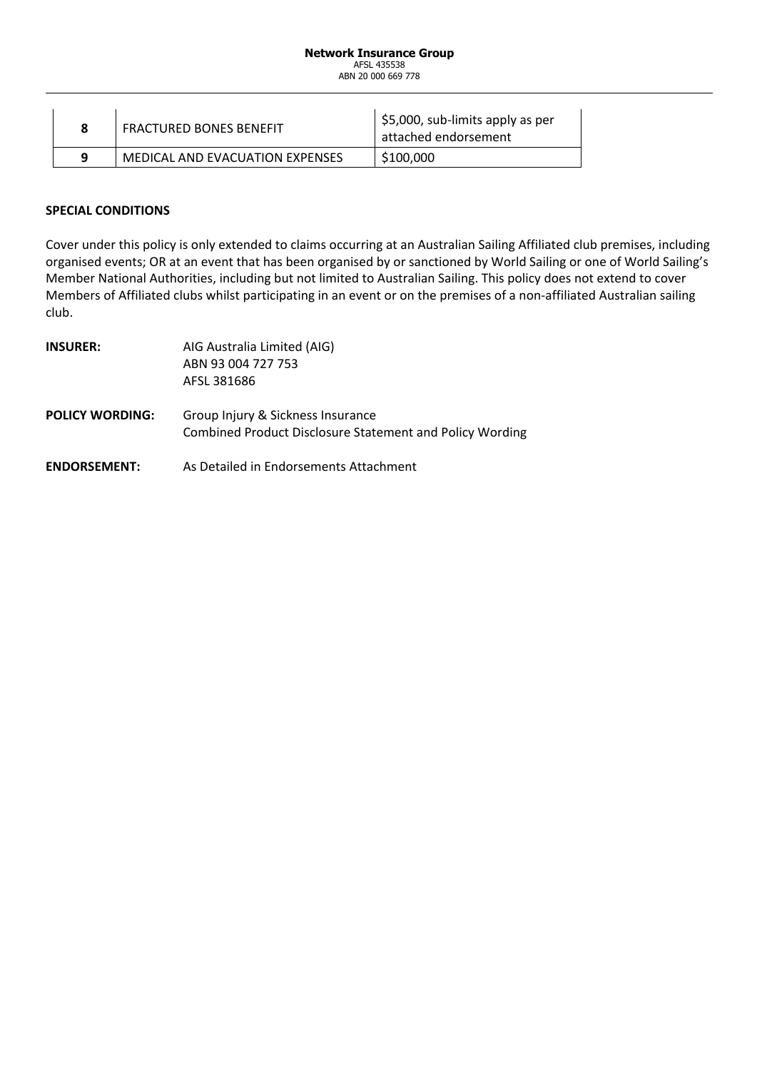#### **Network Insurance Group** AFSL 435538 ABN 20 000 669 778

|   | <b>FRACTURED BONES BENEFIT</b>  | $\vert$ \$5,000, sub-limits apply as per<br>attached endorsement |
|---|---------------------------------|------------------------------------------------------------------|
| Q | MEDICAL AND EVACUATION EXPENSES | \$100,000                                                        |

## **SPECIAL CONDITIONS**

Cover under this policy is only extended to claims occurring at an Australian Sailing Affiliated club premises, including organised events; OR at an event that has been organised by or sanctioned by World Sailing or one of World Sailing's Member National Authorities, including but not limited to Australian Sailing. This policy does not extend to cover Members of Affiliated clubs whilst participating in an event or on the premises of a non-affiliated Australian sailing club.

| <b>INSURER:</b>        | AIG Australia Limited (AIG)<br>ABN 93 004 727 753<br>AFSL 381686                                     |
|------------------------|------------------------------------------------------------------------------------------------------|
| <b>POLICY WORDING:</b> | Group Injury & Sickness Insurance<br><b>Combined Product Disclosure Statement and Policy Wording</b> |
| <b>ENDORSEMENT:</b>    | As Detailed in Endorsements Attachment                                                               |